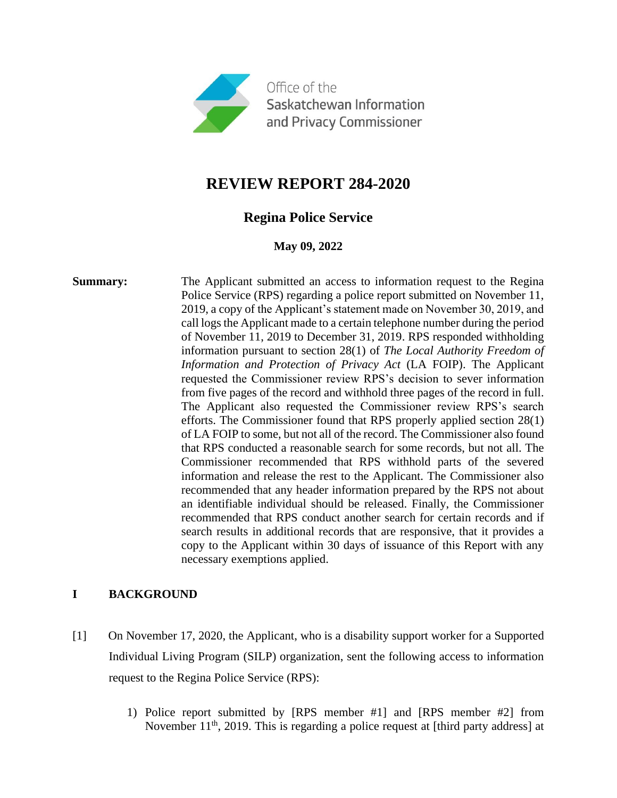

# **REVIEW REPORT 284-2020**

## **Regina Police Service**

#### **May 09, 2022**

**Summary:** The Applicant submitted an access to information request to the Regina Police Service (RPS) regarding a police report submitted on November 11, 2019, a copy of the Applicant's statement made on November 30, 2019, and call logs the Applicant made to a certain telephone number during the period of November 11, 2019 to December 31, 2019. RPS responded withholding information pursuant to section 28(1) of *The Local Authority Freedom of Information and Protection of Privacy Act* (LA FOIP). The Applicant requested the Commissioner review RPS's decision to sever information from five pages of the record and withhold three pages of the record in full. The Applicant also requested the Commissioner review RPS's search efforts. The Commissioner found that RPS properly applied section 28(1) of LA FOIP to some, but not all of the record. The Commissioner also found that RPS conducted a reasonable search for some records, but not all. The Commissioner recommended that RPS withhold parts of the severed information and release the rest to the Applicant. The Commissioner also recommended that any header information prepared by the RPS not about an identifiable individual should be released. Finally, the Commissioner recommended that RPS conduct another search for certain records and if search results in additional records that are responsive, that it provides a copy to the Applicant within 30 days of issuance of this Report with any necessary exemptions applied.

### **I BACKGROUND**

- [1] On November 17, 2020, the Applicant, who is a disability support worker for a Supported Individual Living Program (SILP) organization, sent the following access to information request to the Regina Police Service (RPS):
	- 1) Police report submitted by [RPS member #1] and [RPS member #2] from November  $11<sup>th</sup>$ , 2019. This is regarding a police request at [third party address] at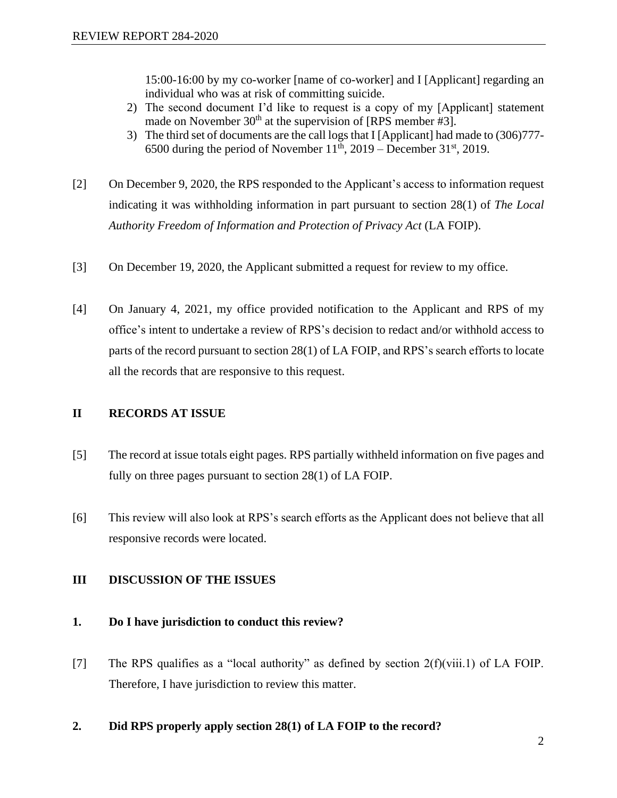15:00-16:00 by my co-worker [name of co-worker] and I [Applicant] regarding an individual who was at risk of committing suicide.

- 2) The second document I'd like to request is a copy of my [Applicant] statement made on November  $30<sup>th</sup>$  at the supervision of [RPS member #3].
- 3) The third set of documents are the call logs that I [Applicant] had made to (306)777- 6500 during the period of November  $11^{th}$ , 2019 – December 31<sup>st</sup>, 2019.
- [2] On December 9, 2020, the RPS responded to the Applicant's access to information request indicating it was withholding information in part pursuant to section 28(1) of *The Local Authority Freedom of Information and Protection of Privacy Act* (LA FOIP).
- [3] On December 19, 2020, the Applicant submitted a request for review to my office.
- [4] On January 4, 2021, my office provided notification to the Applicant and RPS of my office's intent to undertake a review of RPS's decision to redact and/or withhold access to parts of the record pursuant to section 28(1) of LA FOIP, and RPS's search efforts to locate all the records that are responsive to this request.

#### **II RECORDS AT ISSUE**

- [5] The record at issue totals eight pages. RPS partially withheld information on five pages and fully on three pages pursuant to section 28(1) of LA FOIP.
- [6] This review will also look at RPS's search efforts as the Applicant does not believe that all responsive records were located.

#### **III DISCUSSION OF THE ISSUES**

#### **1. Do I have jurisdiction to conduct this review?**

- [7] The RPS qualifies as a "local authority" as defined by section 2(f)(viii.1) of LA FOIP. Therefore, I have jurisdiction to review this matter.
- **2. Did RPS properly apply section 28(1) of LA FOIP to the record?**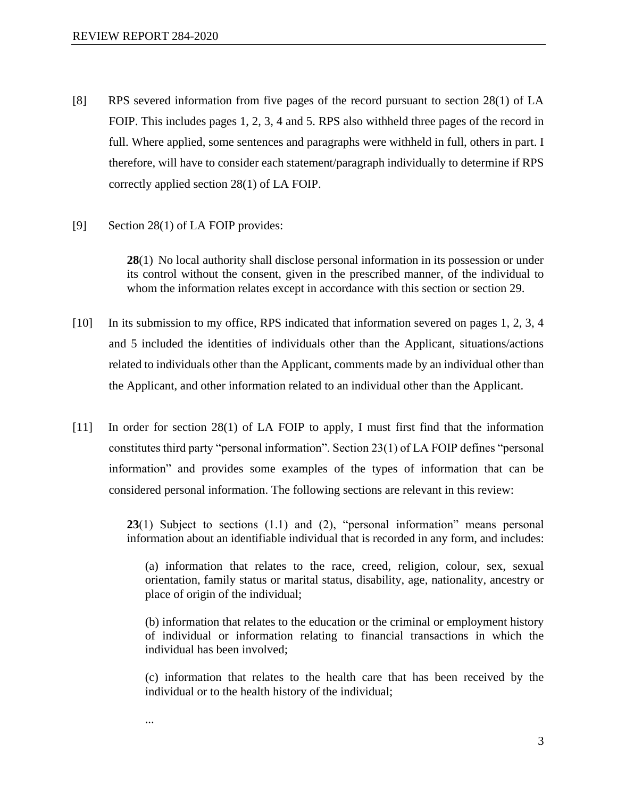- [8] RPS severed information from five pages of the record pursuant to section 28(1) of LA FOIP. This includes pages 1, 2, 3, 4 and 5. RPS also withheld three pages of the record in full. Where applied, some sentences and paragraphs were withheld in full, others in part. I therefore, will have to consider each statement/paragraph individually to determine if RPS correctly applied section 28(1) of LA FOIP.
- [9] Section 28(1) of LA FOIP provides:

...

**28**(1) No local authority shall disclose personal information in its possession or under its control without the consent, given in the prescribed manner, of the individual to whom the information relates except in accordance with this section or section 29.

- [10] In its submission to my office, RPS indicated that information severed on pages 1, 2, 3, 4 and 5 included the identities of individuals other than the Applicant, situations/actions related to individuals other than the Applicant, comments made by an individual other than the Applicant, and other information related to an individual other than the Applicant.
- [11] In order for section 28(1) of LA FOIP to apply, I must first find that the information constitutes third party "personal information". Section 23(1) of LA FOIP defines "personal information" and provides some examples of the types of information that can be considered personal information. The following sections are relevant in this review:

**23**(1) Subject to sections (1.1) and (2), "personal information" means personal information about an identifiable individual that is recorded in any form, and includes:

(a) information that relates to the race, creed, religion, colour, sex, sexual orientation, family status or marital status, disability, age, nationality, ancestry or place of origin of the individual;

(b) information that relates to the education or the criminal or employment history of individual or information relating to financial transactions in which the individual has been involved;

(c) information that relates to the health care that has been received by the individual or to the health history of the individual;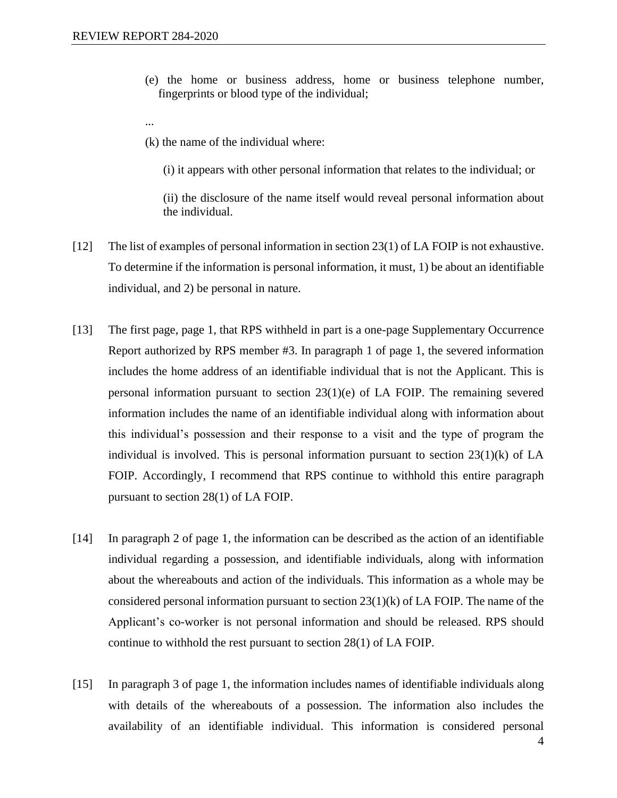- (e) the home or business address, home or business telephone number, fingerprints or blood type of the individual;
- ...
- (k) the name of the individual where:
	- (i) it appears with other personal information that relates to the individual; or

(ii) the disclosure of the name itself would reveal personal information about the individual.

- [12] The list of examples of personal information in section 23(1) of LA FOIP is not exhaustive. To determine if the information is personal information, it must, 1) be about an identifiable individual, and 2) be personal in nature.
- [13] The first page, page 1, that RPS withheld in part is a one-page Supplementary Occurrence Report authorized by RPS member #3. In paragraph 1 of page 1, the severed information includes the home address of an identifiable individual that is not the Applicant. This is personal information pursuant to section 23(1)(e) of LA FOIP. The remaining severed information includes the name of an identifiable individual along with information about this individual's possession and their response to a visit and the type of program the individual is involved. This is personal information pursuant to section  $23(1)(k)$  of LA FOIP. Accordingly, I recommend that RPS continue to withhold this entire paragraph pursuant to section 28(1) of LA FOIP.
- [14] In paragraph 2 of page 1, the information can be described as the action of an identifiable individual regarding a possession, and identifiable individuals, along with information about the whereabouts and action of the individuals. This information as a whole may be considered personal information pursuant to section  $23(1)(k)$  of LA FOIP. The name of the Applicant's co-worker is not personal information and should be released. RPS should continue to withhold the rest pursuant to section 28(1) of LA FOIP.
- [15] In paragraph 3 of page 1, the information includes names of identifiable individuals along with details of the whereabouts of a possession. The information also includes the availability of an identifiable individual. This information is considered personal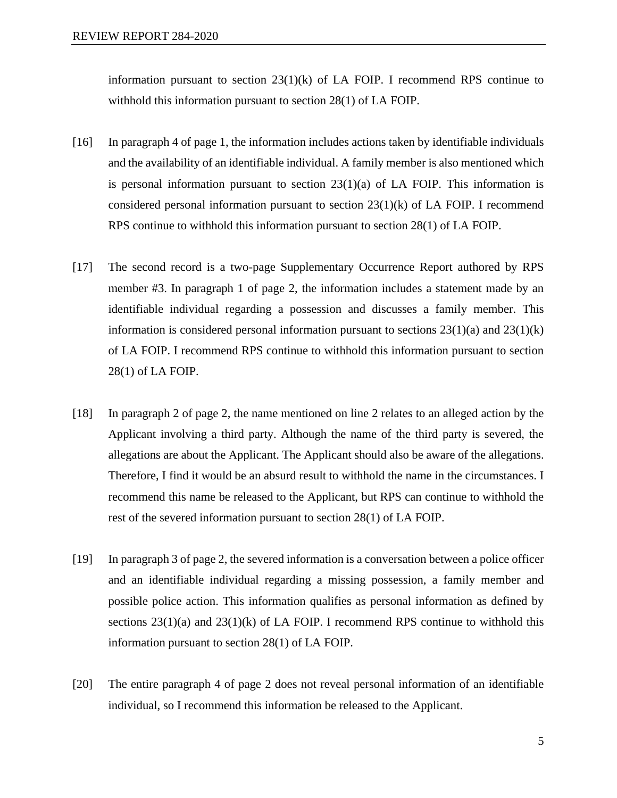information pursuant to section  $23(1)(k)$  of LA FOIP. I recommend RPS continue to withhold this information pursuant to section 28(1) of LA FOIP.

- [16] In paragraph 4 of page 1, the information includes actions taken by identifiable individuals and the availability of an identifiable individual. A family member is also mentioned which is personal information pursuant to section  $23(1)(a)$  of LA FOIP. This information is considered personal information pursuant to section 23(1)(k) of LA FOIP. I recommend RPS continue to withhold this information pursuant to section 28(1) of LA FOIP.
- [17] The second record is a two-page Supplementary Occurrence Report authored by RPS member #3. In paragraph 1 of page 2, the information includes a statement made by an identifiable individual regarding a possession and discusses a family member. This information is considered personal information pursuant to sections  $23(1)(a)$  and  $23(1)(k)$ of LA FOIP. I recommend RPS continue to withhold this information pursuant to section 28(1) of LA FOIP.
- [18] In paragraph 2 of page 2, the name mentioned on line 2 relates to an alleged action by the Applicant involving a third party. Although the name of the third party is severed, the allegations are about the Applicant. The Applicant should also be aware of the allegations. Therefore, I find it would be an absurd result to withhold the name in the circumstances. I recommend this name be released to the Applicant, but RPS can continue to withhold the rest of the severed information pursuant to section 28(1) of LA FOIP.
- [19] In paragraph 3 of page 2, the severed information is a conversation between a police officer and an identifiable individual regarding a missing possession, a family member and possible police action. This information qualifies as personal information as defined by sections  $23(1)(a)$  and  $23(1)(k)$  of LA FOIP. I recommend RPS continue to withhold this information pursuant to section 28(1) of LA FOIP.
- [20] The entire paragraph 4 of page 2 does not reveal personal information of an identifiable individual, so I recommend this information be released to the Applicant.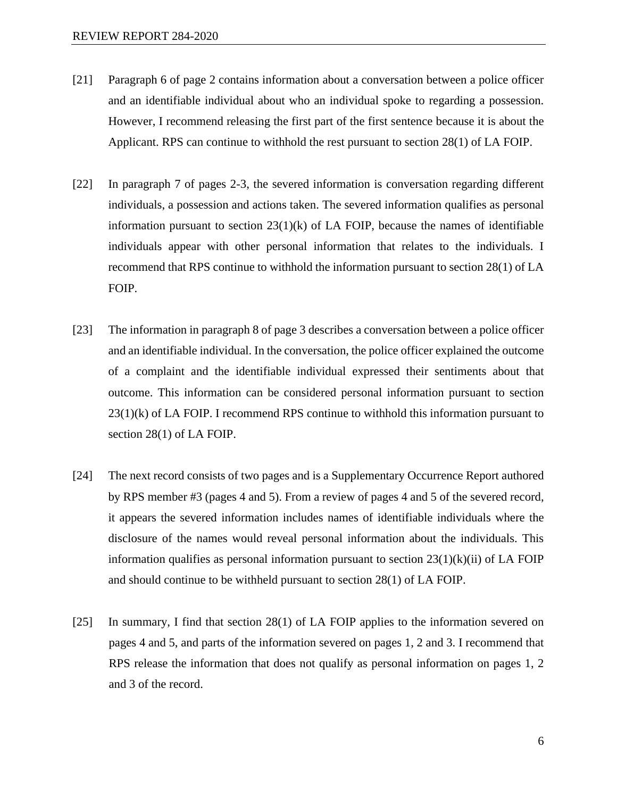- [21] Paragraph 6 of page 2 contains information about a conversation between a police officer and an identifiable individual about who an individual spoke to regarding a possession. However, I recommend releasing the first part of the first sentence because it is about the Applicant. RPS can continue to withhold the rest pursuant to section 28(1) of LA FOIP.
- [22] In paragraph 7 of pages 2-3, the severed information is conversation regarding different individuals, a possession and actions taken. The severed information qualifies as personal information pursuant to section  $23(1)(k)$  of LA FOIP, because the names of identifiable individuals appear with other personal information that relates to the individuals. I recommend that RPS continue to withhold the information pursuant to section 28(1) of LA FOIP.
- [23] The information in paragraph 8 of page 3 describes a conversation between a police officer and an identifiable individual. In the conversation, the police officer explained the outcome of a complaint and the identifiable individual expressed their sentiments about that outcome. This information can be considered personal information pursuant to section  $23(1)(k)$  of LA FOIP. I recommend RPS continue to withhold this information pursuant to section 28(1) of LA FOIP.
- [24] The next record consists of two pages and is a Supplementary Occurrence Report authored by RPS member #3 (pages 4 and 5). From a review of pages 4 and 5 of the severed record, it appears the severed information includes names of identifiable individuals where the disclosure of the names would reveal personal information about the individuals. This information qualifies as personal information pursuant to section  $23(1)(k)(ii)$  of LA FOIP and should continue to be withheld pursuant to section 28(1) of LA FOIP.
- [25] In summary, I find that section 28(1) of LA FOIP applies to the information severed on pages 4 and 5, and parts of the information severed on pages 1, 2 and 3. I recommend that RPS release the information that does not qualify as personal information on pages 1, 2 and 3 of the record.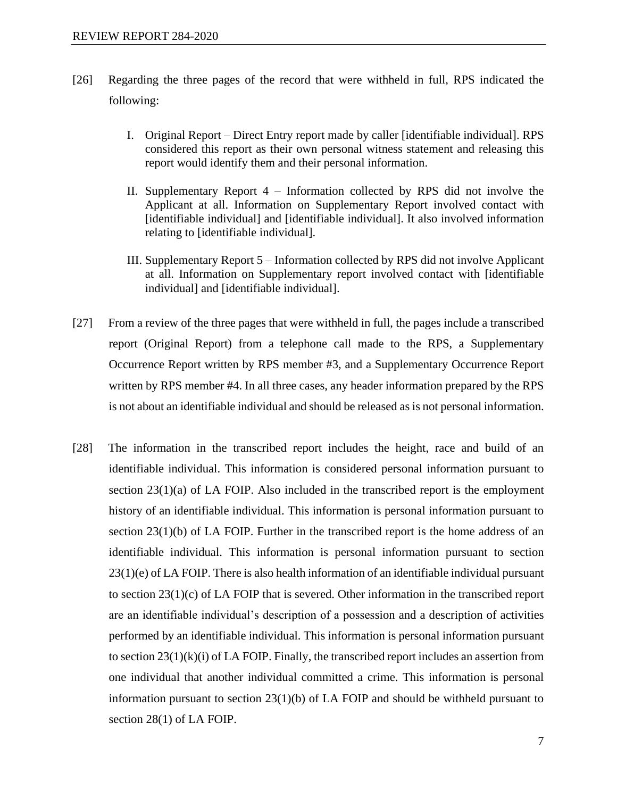- [26] Regarding the three pages of the record that were withheld in full, RPS indicated the following:
	- I. Original Report Direct Entry report made by caller [identifiable individual]. RPS considered this report as their own personal witness statement and releasing this report would identify them and their personal information.
	- II. Supplementary Report 4 Information collected by RPS did not involve the Applicant at all. Information on Supplementary Report involved contact with [identifiable individual] and [identifiable individual]. It also involved information relating to [identifiable individual].
	- III. Supplementary Report 5 Information collected by RPS did not involve Applicant at all. Information on Supplementary report involved contact with [identifiable individual] and [identifiable individual].
- [27] From a review of the three pages that were withheld in full, the pages include a transcribed report (Original Report) from a telephone call made to the RPS, a Supplementary Occurrence Report written by RPS member #3, and a Supplementary Occurrence Report written by RPS member #4. In all three cases, any header information prepared by the RPS is not about an identifiable individual and should be released as is not personal information.
- [28] The information in the transcribed report includes the height, race and build of an identifiable individual. This information is considered personal information pursuant to section 23(1)(a) of LA FOIP. Also included in the transcribed report is the employment history of an identifiable individual. This information is personal information pursuant to section  $23(1)(b)$  of LA FOIP. Further in the transcribed report is the home address of an identifiable individual. This information is personal information pursuant to section 23(1)(e) of LA FOIP. There is also health information of an identifiable individual pursuant to section 23(1)(c) of LA FOIP that is severed. Other information in the transcribed report are an identifiable individual's description of a possession and a description of activities performed by an identifiable individual. This information is personal information pursuant to section  $23(1)(k)(i)$  of LA FOIP. Finally, the transcribed report includes an assertion from one individual that another individual committed a crime. This information is personal information pursuant to section 23(1)(b) of LA FOIP and should be withheld pursuant to section 28(1) of LA FOIP.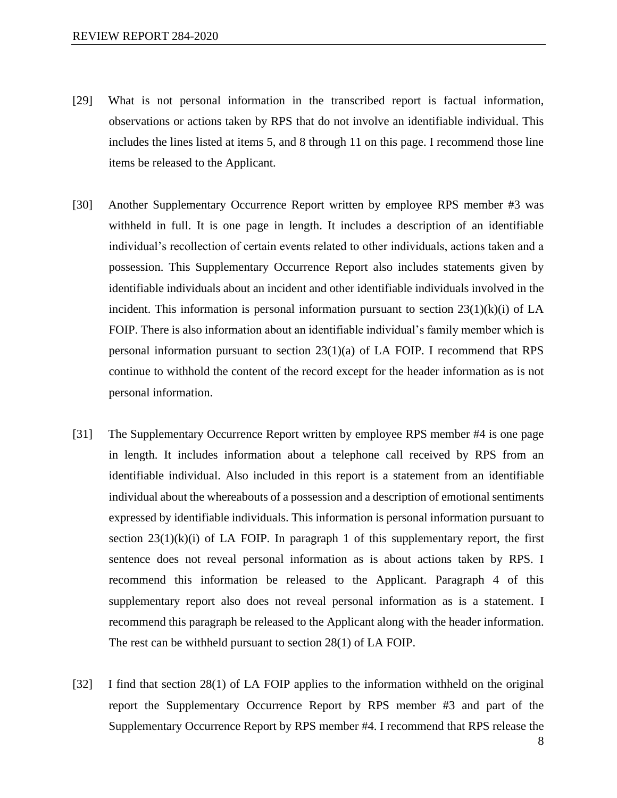- [29] What is not personal information in the transcribed report is factual information, observations or actions taken by RPS that do not involve an identifiable individual. This includes the lines listed at items 5, and 8 through 11 on this page. I recommend those line items be released to the Applicant.
- [30] Another Supplementary Occurrence Report written by employee RPS member #3 was withheld in full. It is one page in length. It includes a description of an identifiable individual's recollection of certain events related to other individuals, actions taken and a possession. This Supplementary Occurrence Report also includes statements given by identifiable individuals about an incident and other identifiable individuals involved in the incident. This information is personal information pursuant to section  $23(1)(k)(i)$  of LA FOIP. There is also information about an identifiable individual's family member which is personal information pursuant to section 23(1)(a) of LA FOIP. I recommend that RPS continue to withhold the content of the record except for the header information as is not personal information.
- [31] The Supplementary Occurrence Report written by employee RPS member #4 is one page in length. It includes information about a telephone call received by RPS from an identifiable individual. Also included in this report is a statement from an identifiable individual about the whereabouts of a possession and a description of emotional sentiments expressed by identifiable individuals. This information is personal information pursuant to section  $23(1)(k)(i)$  of LA FOIP. In paragraph 1 of this supplementary report, the first sentence does not reveal personal information as is about actions taken by RPS. I recommend this information be released to the Applicant. Paragraph 4 of this supplementary report also does not reveal personal information as is a statement. I recommend this paragraph be released to the Applicant along with the header information. The rest can be withheld pursuant to section 28(1) of LA FOIP.
- [32] I find that section 28(1) of LA FOIP applies to the information withheld on the original report the Supplementary Occurrence Report by RPS member #3 and part of the Supplementary Occurrence Report by RPS member #4. I recommend that RPS release the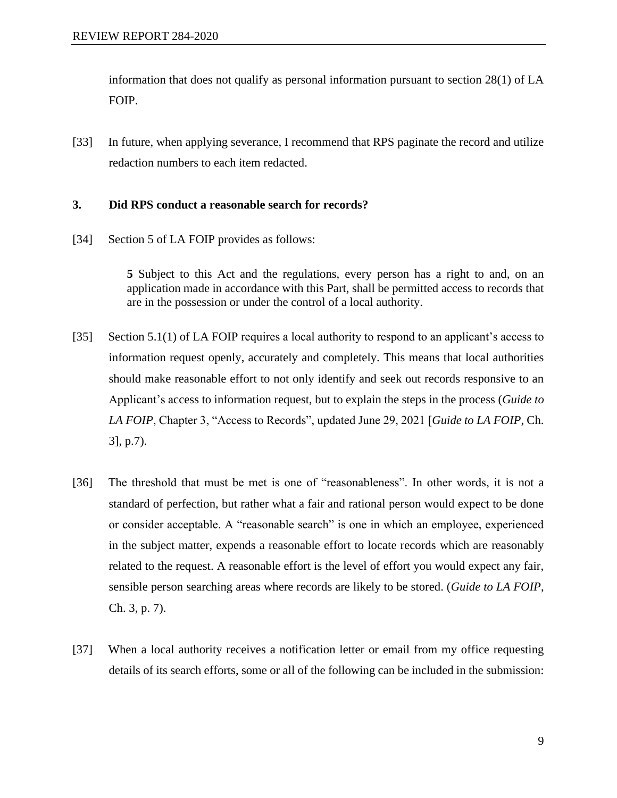information that does not qualify as personal information pursuant to section 28(1) of LA FOIP.

[33] In future, when applying severance, I recommend that RPS paginate the record and utilize redaction numbers to each item redacted.

#### **3. Did RPS conduct a reasonable search for records?**

[34] Section 5 of LA FOIP provides as follows:

**5** Subject to this Act and the regulations, every person has a right to and, on an application made in accordance with this Part, shall be permitted access to records that are in the possession or under the control of a local authority.

- [35] Section 5.1(1) of LA FOIP requires a local authority to respond to an applicant's access to information request openly, accurately and completely. This means that local authorities should make reasonable effort to not only identify and seek out records responsive to an Applicant's access to information request, but to explain the steps in the process (*Guide to LA FOIP*, Chapter 3, "Access to Records", updated June 29, 2021 [*Guide to LA FOIP*, Ch. 3], p.7).
- [36] The threshold that must be met is one of "reasonableness". In other words, it is not a standard of perfection, but rather what a fair and rational person would expect to be done or consider acceptable. A "reasonable search" is one in which an employee, experienced in the subject matter, expends a reasonable effort to locate records which are reasonably related to the request. A reasonable effort is the level of effort you would expect any fair, sensible person searching areas where records are likely to be stored. (*Guide to LA FOIP*, Ch. 3, p. 7).
- [37] When a local authority receives a notification letter or email from my office requesting details of its search efforts, some or all of the following can be included in the submission: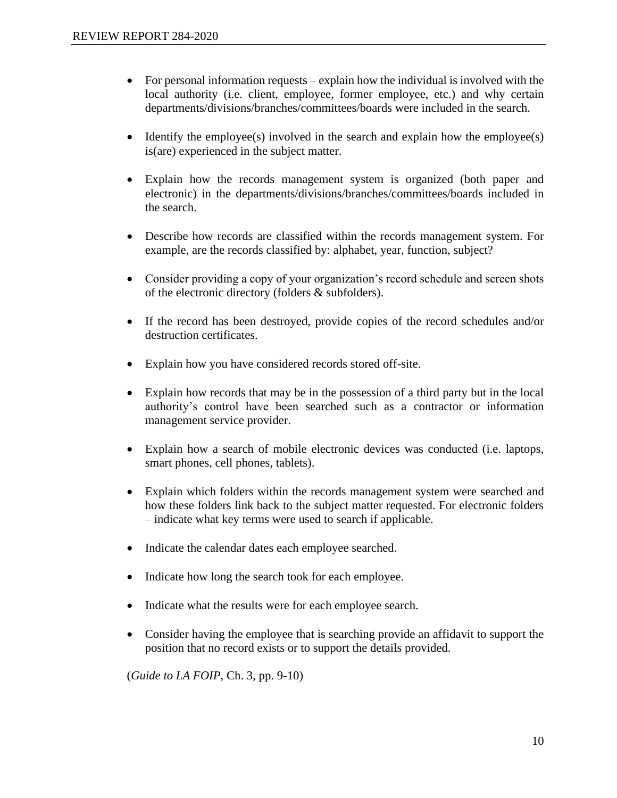- For personal information requests explain how the individual is involved with the local authority (i.e. client, employee, former employee, etc.) and why certain departments/divisions/branches/committees/boards were included in the search.
- Identify the employee(s) involved in the search and explain how the employee(s) is(are) experienced in the subject matter.
- Explain how the records management system is organized (both paper and electronic) in the departments/divisions/branches/committees/boards included in the search.
- Describe how records are classified within the records management system. For example, are the records classified by: alphabet, year, function, subject?
- Consider providing a copy of your organization's record schedule and screen shots of the electronic directory (folders & subfolders).
- If the record has been destroyed, provide copies of the record schedules and/or destruction certificates.
- Explain how you have considered records stored off-site.
- Explain how records that may be in the possession of a third party but in the local authority's control have been searched such as a contractor or information management service provider.
- Explain how a search of mobile electronic devices was conducted (i.e. laptops, smart phones, cell phones, tablets).
- Explain which folders within the records management system were searched and how these folders link back to the subject matter requested. For electronic folders – indicate what key terms were used to search if applicable.
- Indicate the calendar dates each employee searched.
- Indicate how long the search took for each employee.
- Indicate what the results were for each employee search.
- Consider having the employee that is searching provide an affidavit to support the position that no record exists or to support the details provided.

(*Guide to LA FOIP*, Ch. 3, pp. 9-10)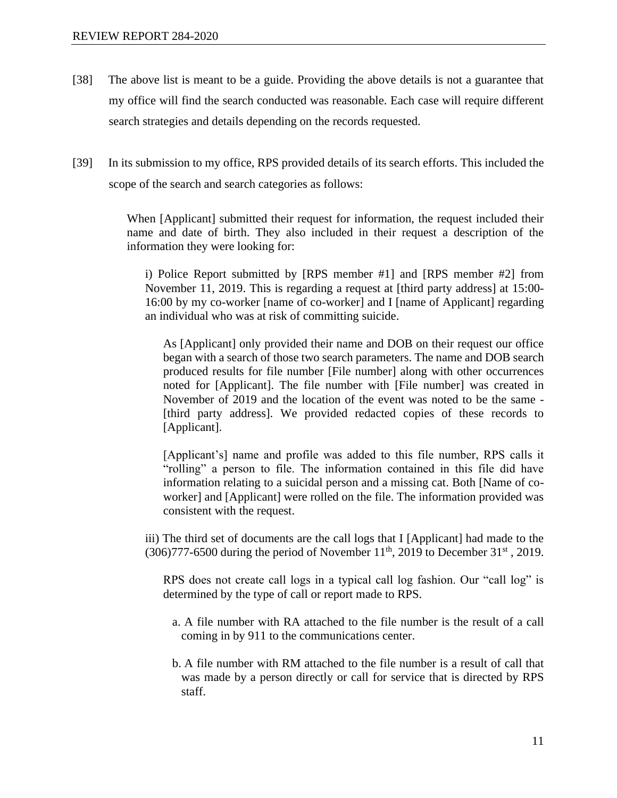- [38] The above list is meant to be a guide. Providing the above details is not a guarantee that my office will find the search conducted was reasonable. Each case will require different search strategies and details depending on the records requested.
- [39] In its submission to my office, RPS provided details of its search efforts. This included the scope of the search and search categories as follows:

When [Applicant] submitted their request for information, the request included their name and date of birth. They also included in their request a description of the information they were looking for:

i) Police Report submitted by [RPS member #1] and [RPS member #2] from November 11, 2019. This is regarding a request at [third party address] at 15:00- 16:00 by my co-worker [name of co-worker] and I [name of Applicant] regarding an individual who was at risk of committing suicide.

As [Applicant] only provided their name and DOB on their request our office began with a search of those two search parameters. The name and DOB search produced results for file number [File number] along with other occurrences noted for [Applicant]. The file number with [File number] was created in November of 2019 and the location of the event was noted to be the same - [third party address]. We provided redacted copies of these records to [Applicant].

[Applicant's] name and profile was added to this file number, RPS calls it "rolling" a person to file. The information contained in this file did have information relating to a suicidal person and a missing cat. Both [Name of coworker] and [Applicant] were rolled on the file. The information provided was consistent with the request.

iii) The third set of documents are the call logs that I [Applicant] had made to the (306)777-6500 during the period of November  $11<sup>th</sup>$ , 2019 to December 31<sup>st</sup>, 2019.

RPS does not create call logs in a typical call log fashion. Our "call log" is determined by the type of call or report made to RPS.

- a. A file number with RA attached to the file number is the result of a call coming in by 911 to the communications center.
- b. A file number with RM attached to the file number is a result of call that was made by a person directly or call for service that is directed by RPS staff.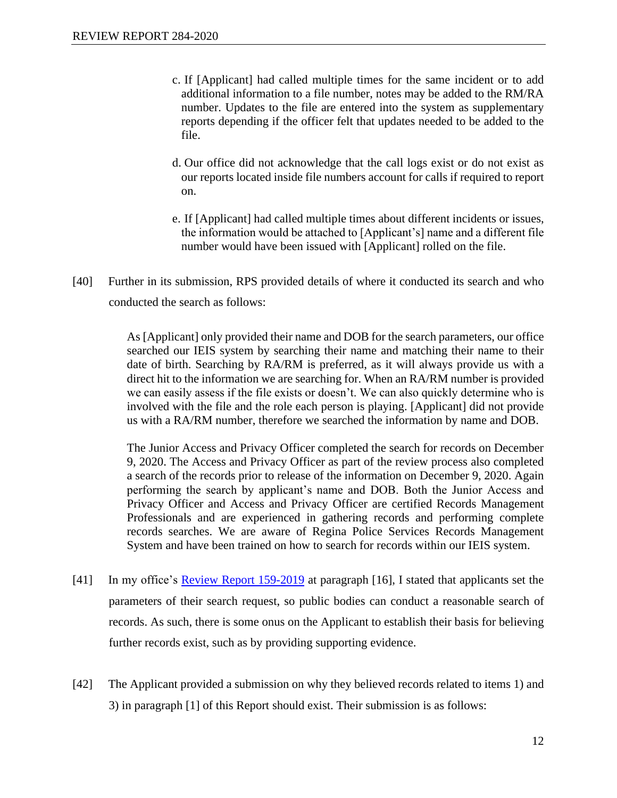- c. If [Applicant] had called multiple times for the same incident or to add additional information to a file number, notes may be added to the RM/RA number. Updates to the file are entered into the system as supplementary reports depending if the officer felt that updates needed to be added to the file.
- d. Our office did not acknowledge that the call logs exist or do not exist as our reports located inside file numbers account for calls if required to report on.
- e. If [Applicant] had called multiple times about different incidents or issues, the information would be attached to [Applicant's] name and a different file number would have been issued with [Applicant] rolled on the file.
- [40] Further in its submission, RPS provided details of where it conducted its search and who conducted the search as follows:

As [Applicant] only provided their name and DOB for the search parameters, our office searched our IEIS system by searching their name and matching their name to their date of birth. Searching by RA/RM is preferred, as it will always provide us with a direct hit to the information we are searching for. When an RA/RM number is provided we can easily assess if the file exists or doesn't. We can also quickly determine who is involved with the file and the role each person is playing. [Applicant] did not provide us with a RA/RM number, therefore we searched the information by name and DOB.

The Junior Access and Privacy Officer completed the search for records on December 9, 2020. The Access and Privacy Officer as part of the review process also completed a search of the records prior to release of the information on December 9, 2020. Again performing the search by applicant's name and DOB. Both the Junior Access and Privacy Officer and Access and Privacy Officer are certified Records Management Professionals and are experienced in gathering records and performing complete records searches. We are aware of Regina Police Services Records Management System and have been trained on how to search for records within our IEIS system.

- [41] In my office's [Review Report 159-2019](https://oipc.sk.ca/assets/hipa-review-159-2019.pdf) at paragraph [16], I stated that applicants set the parameters of their search request, so public bodies can conduct a reasonable search of records. As such, there is some onus on the Applicant to establish their basis for believing further records exist, such as by providing supporting evidence.
- [42] The Applicant provided a submission on why they believed records related to items 1) and 3) in paragraph [1] of this Report should exist. Their submission is as follows: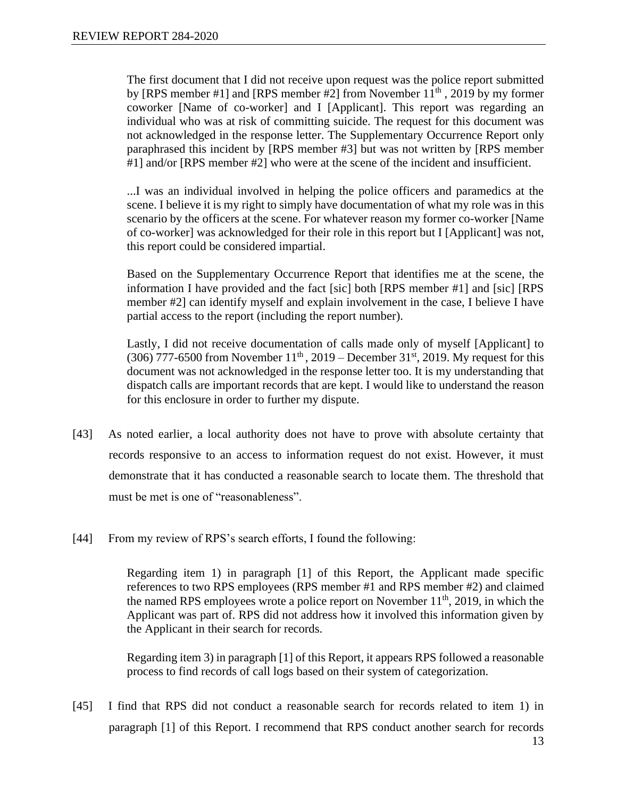The first document that I did not receive upon request was the police report submitted by [RPS member  $\#1$ ] and [RPS member  $\#2$ ] from November  $11<sup>th</sup>$ , 2019 by my former coworker [Name of co-worker] and I [Applicant]. This report was regarding an individual who was at risk of committing suicide. The request for this document was not acknowledged in the response letter. The Supplementary Occurrence Report only paraphrased this incident by [RPS member #3] but was not written by [RPS member #1] and/or [RPS member #2] who were at the scene of the incident and insufficient.

...I was an individual involved in helping the police officers and paramedics at the scene. I believe it is my right to simply have documentation of what my role was in this scenario by the officers at the scene. For whatever reason my former co-worker [Name of co-worker] was acknowledged for their role in this report but I [Applicant] was not, this report could be considered impartial.

Based on the Supplementary Occurrence Report that identifies me at the scene, the information I have provided and the fact [sic] both [RPS member #1] and [sic] [RPS member #2] can identify myself and explain involvement in the case, I believe I have partial access to the report (including the report number).

Lastly, I did not receive documentation of calls made only of myself [Applicant] to  $(306)$  777-6500 from November 11<sup>th</sup>, 2019 – December 31<sup>st</sup>, 2019. My request for this document was not acknowledged in the response letter too. It is my understanding that dispatch calls are important records that are kept. I would like to understand the reason for this enclosure in order to further my dispute.

- [43] As noted earlier, a local authority does not have to prove with absolute certainty that records responsive to an access to information request do not exist. However, it must demonstrate that it has conducted a reasonable search to locate them. The threshold that must be met is one of "reasonableness".
- [44] From my review of RPS's search efforts, I found the following:

Regarding item 1) in paragraph [1] of this Report, the Applicant made specific references to two RPS employees (RPS member #1 and RPS member #2) and claimed the named RPS employees wrote a police report on November  $11<sup>th</sup>$ , 2019, in which the Applicant was part of. RPS did not address how it involved this information given by the Applicant in their search for records.

Regarding item 3) in paragraph [1] of this Report, it appears RPS followed a reasonable process to find records of call logs based on their system of categorization.

[45] I find that RPS did not conduct a reasonable search for records related to item 1) in paragraph [1] of this Report. I recommend that RPS conduct another search for records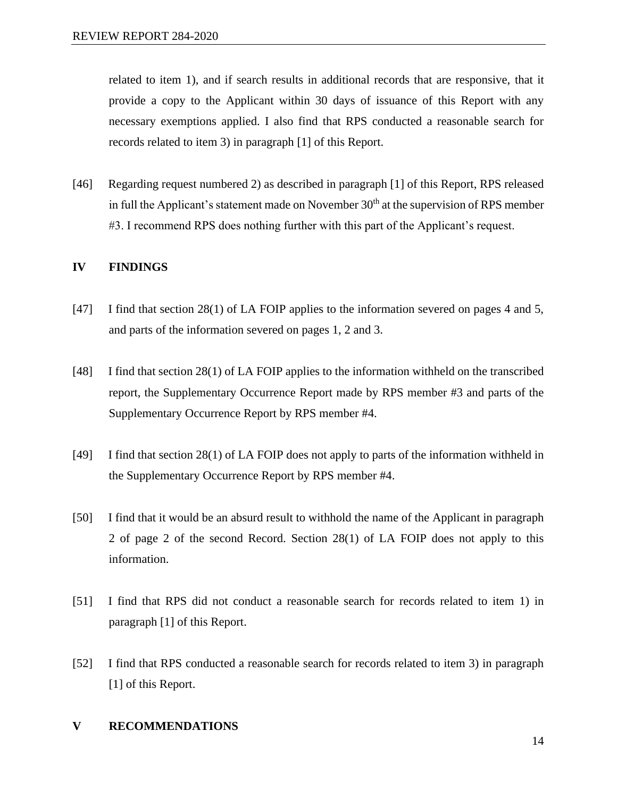related to item 1), and if search results in additional records that are responsive, that it provide a copy to the Applicant within 30 days of issuance of this Report with any necessary exemptions applied. I also find that RPS conducted a reasonable search for records related to item 3) in paragraph [1] of this Report.

[46] Regarding request numbered 2) as described in paragraph [1] of this Report, RPS released in full the Applicant's statement made on November  $30<sup>th</sup>$  at the supervision of RPS member #3. I recommend RPS does nothing further with this part of the Applicant's request.

#### **IV FINDINGS**

- [47] I find that section 28(1) of LA FOIP applies to the information severed on pages 4 and 5, and parts of the information severed on pages 1, 2 and 3.
- [48] I find that section 28(1) of LA FOIP applies to the information withheld on the transcribed report, the Supplementary Occurrence Report made by RPS member #3 and parts of the Supplementary Occurrence Report by RPS member #4.
- [49] I find that section 28(1) of LA FOIP does not apply to parts of the information withheld in the Supplementary Occurrence Report by RPS member #4.
- [50] I find that it would be an absurd result to withhold the name of the Applicant in paragraph 2 of page 2 of the second Record. Section 28(1) of LA FOIP does not apply to this information.
- [51] I find that RPS did not conduct a reasonable search for records related to item 1) in paragraph [1] of this Report.
- [52] I find that RPS conducted a reasonable search for records related to item 3) in paragraph [1] of this Report.

#### **V RECOMMENDATIONS**